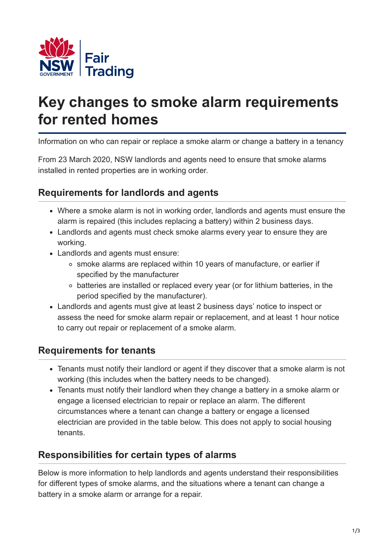

# **Key changes to smoke alarm requirements for rented homes**

Information on who can repair or replace a smoke alarm or change a battery in a tenancy

From 23 March 2020, NSW landlords and agents need to ensure that smoke alarms installed in rented properties are in working order.

# **Requirements for landlords and agents**

- Where a smoke alarm is not in working order, landlords and agents must ensure the alarm is repaired (this includes replacing a battery) within 2 business days.
- Landlords and agents must check smoke alarms every year to ensure they are working.
- Landlords and agents must ensure:
	- smoke alarms are replaced within 10 years of manufacture, or earlier if specified by the manufacturer
	- batteries are installed or replaced every year (or for lithium batteries, in the period specified by the manufacturer).
- Landlords and agents must give at least 2 business days' notice to inspect or assess the need for smoke alarm repair or replacement, and at least 1 hour notice to carry out repair or replacement of a smoke alarm.

### **Requirements for tenants**

- Tenants must notify their landlord or agent if they discover that a smoke alarm is not working (this includes when the battery needs to be changed).
- Tenants must notify their landlord when they change a battery in a smoke alarm or engage a licensed electrician to repair or replace an alarm. The different circumstances where a tenant can change a battery or engage a licensed electrician are provided in the table below. This does not apply to social housing tenants.

# **Responsibilities for certain types of alarms**

Below is more information to help landlords and agents understand their responsibilities for different types of smoke alarms, and the situations where a tenant can change a battery in a smoke alarm or arrange for a repair.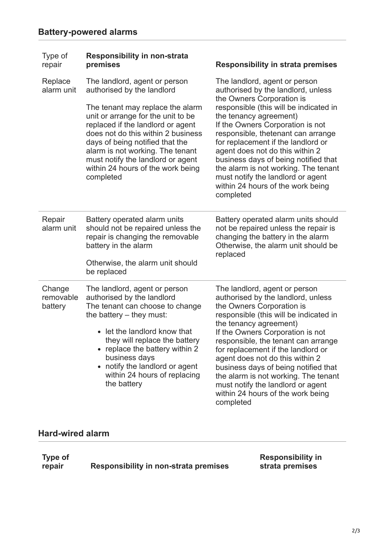| Type of<br>repair              | <b>Responsibility in non-strata</b><br>premises                                                                                                                                                                                                                                                                                                                                | <b>Responsibility in strata premises</b>                                                                                                                                                                                                                                                                                                                                                                                                                                                        |
|--------------------------------|--------------------------------------------------------------------------------------------------------------------------------------------------------------------------------------------------------------------------------------------------------------------------------------------------------------------------------------------------------------------------------|-------------------------------------------------------------------------------------------------------------------------------------------------------------------------------------------------------------------------------------------------------------------------------------------------------------------------------------------------------------------------------------------------------------------------------------------------------------------------------------------------|
| Replace<br>alarm unit          | The landlord, agent or person<br>authorised by the landlord<br>The tenant may replace the alarm<br>unit or arrange for the unit to be<br>replaced if the landlord or agent<br>does not do this within 2 business<br>days of being notified that the<br>alarm is not working. The tenant<br>must notify the landlord or agent<br>within 24 hours of the work being<br>completed | The landlord, agent or person<br>authorised by the landlord, unless<br>the Owners Corporation is<br>responsible (this will be indicated in<br>the tenancy agreement)<br>If the Owners Corporation is not<br>responsible, thetenant can arrange<br>for replacement if the landlord or<br>agent does not do this within 2<br>business days of being notified that<br>the alarm is not working. The tenant<br>must notify the landlord or agent<br>within 24 hours of the work being<br>completed  |
| Repair<br>alarm unit           | Battery operated alarm units<br>should not be repaired unless the<br>repair is changing the removable<br>battery in the alarm<br>Otherwise, the alarm unit should<br>be replaced                                                                                                                                                                                               | Battery operated alarm units should<br>not be repaired unless the repair is<br>changing the battery in the alarm<br>Otherwise, the alarm unit should be<br>replaced                                                                                                                                                                                                                                                                                                                             |
| Change<br>removable<br>battery | The landlord, agent or person<br>authorised by the landlord<br>The tenant can choose to change<br>the battery – they must:<br>• let the landlord know that<br>they will replace the battery<br>replace the battery within 2<br>business days<br>notify the landlord or agent<br>$\bullet$<br>within 24 hours of replacing<br>the battery                                       | The landlord, agent or person<br>authorised by the landlord, unless<br>the Owners Corporation is<br>responsible (this will be indicated in<br>the tenancy agreement)<br>If the Owners Corporation is not<br>responsible, the tenant can arrange<br>for replacement if the landlord or<br>agent does not do this within 2<br>business days of being notified that<br>the alarm is not working. The tenant<br>must notify the landlord or agent<br>within 24 hours of the work being<br>completed |

#### **Hard-wired alarm**

| <b>Type of</b> |                                       |
|----------------|---------------------------------------|
| repair         | Responsibility in non-strata premises |

**Responsibility in strata premises**